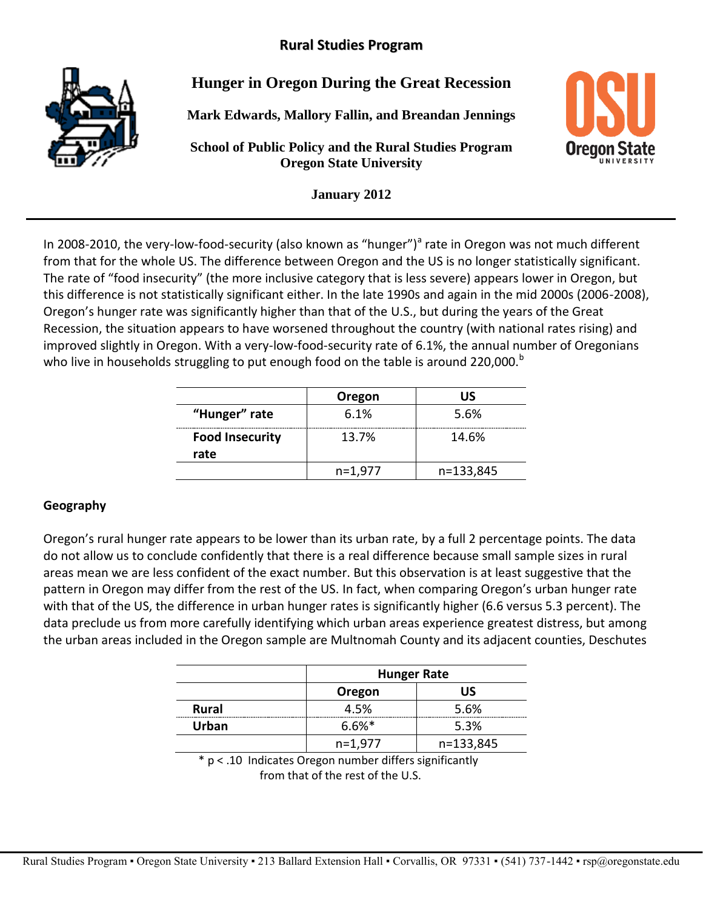# **Rural Studies Program**



**Hunger in Oregon During the Great Recession**

**Mark Edwards, Mallory Fallin, and Breandan Jennings**

**School of Public Policy and the Rural Studies Program Oregon State University**



**January 2012**

In 2008-2010, the very-low-food-security (also known as "hunger")<sup>a</sup> rate in Oregon was not much different from that for the whole US. The difference between Oregon and the US is no longer statistically significant. The rate of "food insecurity" (the more inclusive category that is less severe) appears lower in Oregon, but this difference is not statistically significant either. In the late 1990s and again in the mid 2000s (2006-2008), Oregon's hunger rate was significantly higher than that of the U.S., but during the years of the Great Recession, the situation appears to have worsened throughout the country (with national rates rising) and improved slightly in Oregon. With a very-low-food-security rate of 6.1%, the annual number of Oregonians who live in households struggling to put enough food on the table is around 220,000.<sup>b</sup>

|                        | Oregon    | บร        |
|------------------------|-----------|-----------|
| "Hunger" rate          | 6.1%      | 5.6%      |
| <b>Food Insecurity</b> | 13.7%     | 14.6%     |
| rate                   |           |           |
|                        | $n=1,977$ | n=133,845 |

#### **Geography**

Oregon's rural hunger rate appears to be lower than its urban rate, by a full 2 percentage points. The data do not allow us to conclude confidently that there is a real difference because small sample sizes in rural areas mean we are less confident of the exact number. But this observation is at least suggestive that the pattern in Oregon may differ from the rest of the US. In fact, when comparing Oregon's urban hunger rate with that of the US, the difference in urban hunger rates is significantly higher (6.6 versus 5.3 percent). The data preclude us from more carefully identifying which urban areas experience greatest distress, but among the urban areas included in the Oregon sample are Multnomah County and its adjacent counties, Deschutes

|                                                    | <b>Hunger Rate</b> |           |
|----------------------------------------------------|--------------------|-----------|
|                                                    | Oregon             | <b>US</b> |
| <b>Rural</b>                                       | 4.5%               | 5.6%      |
| <b>Urban</b>                                       | $6.6\%*$           | 5.3%      |
|                                                    | $n=1,977$          | n=133,845 |
| $\mathbf{a}$<br>$\sim$ $\sim$ $\sim$ $\sim$ $\sim$ | <br>. .            |           |

\* p < .10 Indicates Oregon number differs significantly from that of the rest of the U.S.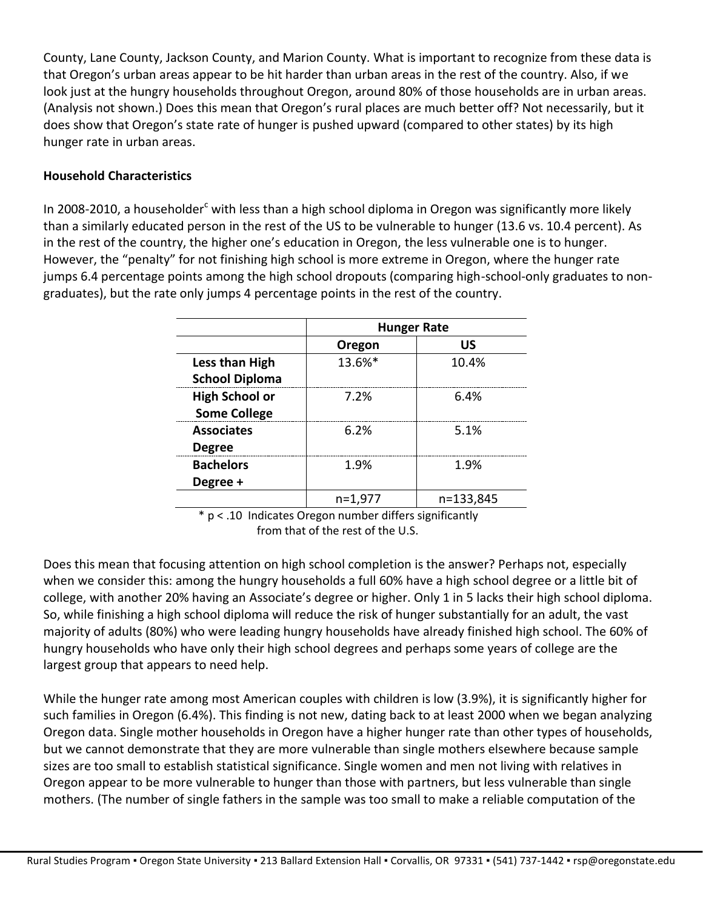County, Lane County, Jackson County, and Marion County. What is important to recognize from these data is that Oregon's urban areas appear to be hit harder than urban areas in the rest of the country. Also, if we look just at the hungry households throughout Oregon, around 80% of those households are in urban areas. (Analysis not shown.) Does this mean that Oregon's rural places are much better off? Not necessarily, but it does show that Oregon's state rate of hunger is pushed upward (compared to other states) by its high hunger rate in urban areas.

### **Household Characteristics**

In 2008-2010, a householder<sup>c</sup> with less than a high school diploma in Oregon was significantly more likely than a similarly educated person in the rest of the US to be vulnerable to hunger (13.6 vs. 10.4 percent). As in the rest of the country, the higher one's education in Oregon, the less vulnerable one is to hunger. However, the "penalty" for not finishing high school is more extreme in Oregon, where the hunger rate jumps 6.4 percentage points among the high school dropouts (comparing high-school-only graduates to nongraduates), but the rate only jumps 4 percentage points in the rest of the country.

|                       | <b>Hunger Rate</b> |           |
|-----------------------|--------------------|-----------|
|                       | Oregon             | US        |
| Less than High        | 13.6%*             | 10.4%     |
| <b>School Diploma</b> |                    |           |
| <b>High School or</b> | 7.2%               | 6.4%      |
| <b>Some College</b>   |                    |           |
| <b>Associates</b>     | 6.2%               | 5.1%      |
| <b>Degree</b>         |                    |           |
| <b>Bachelors</b>      | 1.9%               | 1.9%      |
| Degree +              |                    |           |
|                       | $n=1,977$          | n=133,845 |

 \* p < .10 Indicates Oregon number differs significantly from that of the rest of the U.S.

Does this mean that focusing attention on high school completion is the answer? Perhaps not, especially when we consider this: among the hungry households a full 60% have a high school degree or a little bit of college, with another 20% having an Associate's degree or higher. Only 1 in 5 lacks their high school diploma. So, while finishing a high school diploma will reduce the risk of hunger substantially for an adult, the vast majority of adults (80%) who were leading hungry households have already finished high school. The 60% of hungry households who have only their high school degrees and perhaps some years of college are the largest group that appears to need help.

While the hunger rate among most American couples with children is low (3.9%), it is significantly higher for such families in Oregon (6.4%). This finding is not new, dating back to at least 2000 when we began analyzing Oregon data. Single mother households in Oregon have a higher hunger rate than other types of households, but we cannot demonstrate that they are more vulnerable than single mothers elsewhere because sample sizes are too small to establish statistical significance. Single women and men not living with relatives in Oregon appear to be more vulnerable to hunger than those with partners, but less vulnerable than single mothers. (The number of single fathers in the sample was too small to make a reliable computation of the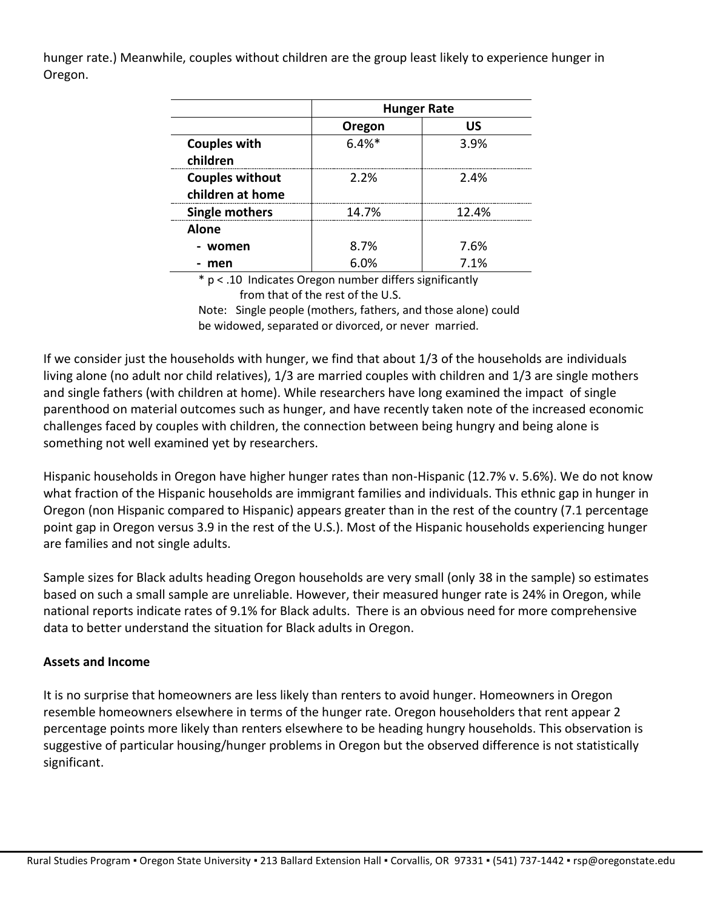hunger rate.) Meanwhile, couples without children are the group least likely to experience hunger in Oregon.

|                                            | <b>Hunger Rate</b> |       |
|--------------------------------------------|--------------------|-------|
|                                            | Oregon             | US    |
| <b>Couples with</b><br>children            | $6.4%$ *           | 3.9%  |
| <b>Couples without</b><br>children at home | 2.2%               | 2.4%  |
| <b>Single mothers</b>                      | 14.7%              | 12.4% |
| <b>Alone</b>                               |                    |       |
| - women                                    | 8.7%               | 7.6%  |
| men                                        | 6.0%               | 7.1%  |

\* p < .10 Indicates Oregon number differs significantly from that of the rest of the U.S. Note: Single people (mothers, fathers, and those alone) could be widowed, separated or divorced, or never married.

If we consider just the households with hunger, we find that about 1/3 of the households are individuals living alone (no adult nor child relatives), 1/3 are married couples with children and 1/3 are single mothers and single fathers (with children at home). While researchers have long examined the impact of single parenthood on material outcomes such as hunger, and have recently taken note of the increased economic challenges faced by couples with children, the connection between being hungry and being alone is something not well examined yet by researchers.

Hispanic households in Oregon have higher hunger rates than non-Hispanic (12.7% v. 5.6%). We do not know what fraction of the Hispanic households are immigrant families and individuals. This ethnic gap in hunger in Oregon (non Hispanic compared to Hispanic) appears greater than in the rest of the country (7.1 percentage point gap in Oregon versus 3.9 in the rest of the U.S.). Most of the Hispanic households experiencing hunger are families and not single adults.

Sample sizes for Black adults heading Oregon households are very small (only 38 in the sample) so estimates based on such a small sample are unreliable. However, their measured hunger rate is 24% in Oregon, while national reports indicate rates of 9.1% for Black adults. There is an obvious need for more comprehensive data to better understand the situation for Black adults in Oregon.

## **Assets and Income**

It is no surprise that homeowners are less likely than renters to avoid hunger. Homeowners in Oregon resemble homeowners elsewhere in terms of the hunger rate. Oregon householders that rent appear 2 percentage points more likely than renters elsewhere to be heading hungry households. This observation is suggestive of particular housing/hunger problems in Oregon but the observed difference is not statistically significant.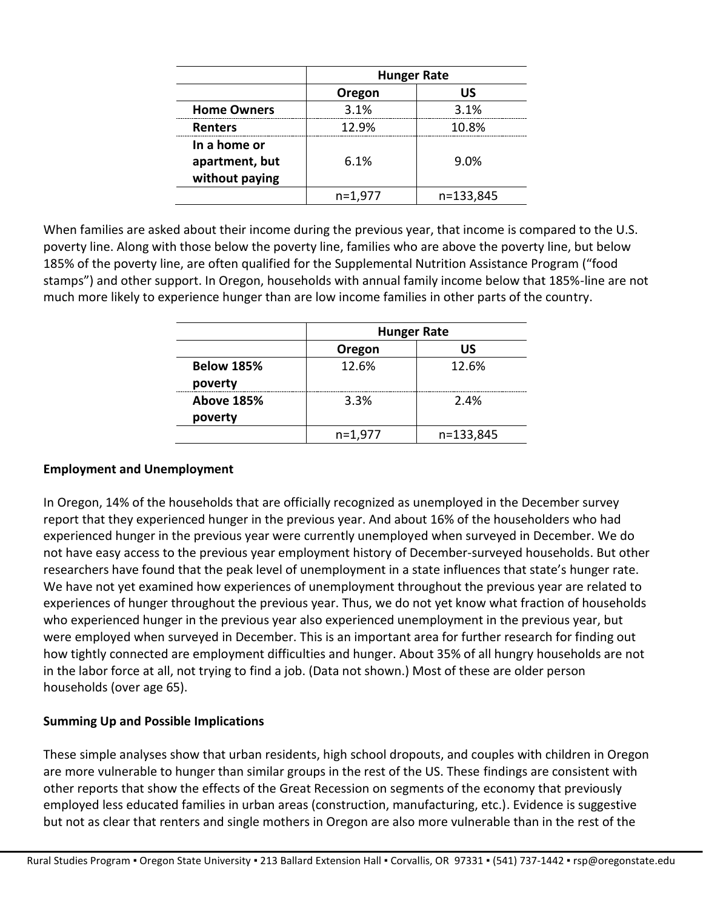|                    | <b>Hunger Rate</b> |           |
|--------------------|--------------------|-----------|
|                    | Oregon             | US        |
| <b>Home Owners</b> | 3.1%               | 3.1%      |
| <b>Renters</b>     | 12.9%              | 10.8%     |
| In a home or       |                    |           |
| apartment, but     | 6.1%               | 9.0%      |
| without paying     |                    |           |
|                    | $n=1,977$          | n=133,845 |

When families are asked about their income during the previous year, that income is compared to the U.S. poverty line. Along with those below the poverty line, families who are above the poverty line, but below 185% of the poverty line, are often qualified for the Supplemental Nutrition Assistance Program ("food stamps") and other support. In Oregon, households with annual family income below that 185%-line are not much more likely to experience hunger than are low income families in other parts of the country.

|                              | <b>Hunger Rate</b> |           |
|------------------------------|--------------------|-----------|
|                              | Oregon             | บร        |
| <b>Below 185%</b><br>poverty | 12.6%              | 12.6%     |
| <b>Above 185%</b><br>poverty | 3.3%               | 2.4%      |
|                              | $n=1,977$          | n=133,845 |

#### **Employment and Unemployment**

In Oregon, 14% of the households that are officially recognized as unemployed in the December survey report that they experienced hunger in the previous year. And about 16% of the householders who had experienced hunger in the previous year were currently unemployed when surveyed in December. We do not have easy access to the previous year employment history of December-surveyed households. But other researchers have found that the peak level of unemployment in a state influences that state's hunger rate. We have not yet examined how experiences of unemployment throughout the previous year are related to experiences of hunger throughout the previous year. Thus, we do not yet know what fraction of households who experienced hunger in the previous year also experienced unemployment in the previous year, but were employed when surveyed in December. This is an important area for further research for finding out how tightly connected are employment difficulties and hunger. About 35% of all hungry households are not in the labor force at all, not trying to find a job. (Data not shown.) Most of these are older person households (over age 65).

#### **Summing Up and Possible Implications**

These simple analyses show that urban residents, high school dropouts, and couples with children in Oregon are more vulnerable to hunger than similar groups in the rest of the US. These findings are consistent with other reports that show the effects of the Great Recession on segments of the economy that previously employed less educated families in urban areas (construction, manufacturing, etc.). Evidence is suggestive but not as clear that renters and single mothers in Oregon are also more vulnerable than in the rest of the